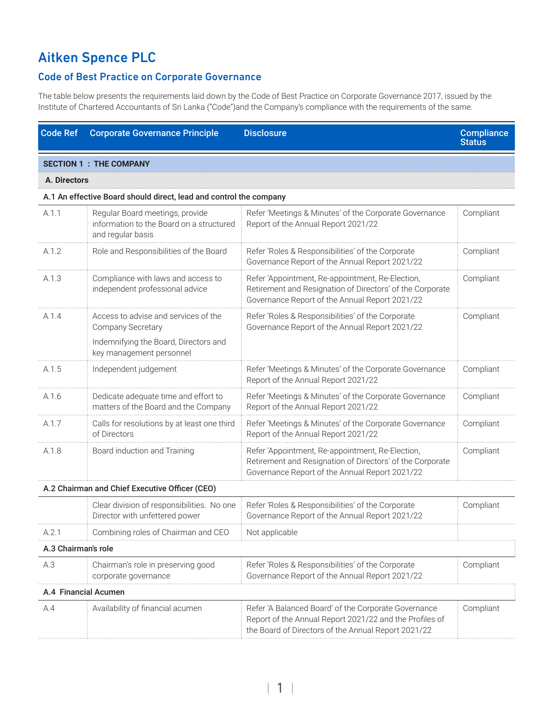## Aitken Spence PLC

## Code of Best Practice on Corporate Governance

The table below presents the requirements laid down by the Code of Best Practice on Corporate Governance 2017, issued by the Institute of Chartered Accountants of Sri Lanka ("Code")and the Company's compliance with the requirements of the same.

| <b>Code Ref</b>                                | <b>Corporate Governance Principle</b>                                                                                          | <b>Disclosure</b>                                                                                                                                                      | <b>Compliance</b><br><b>Status</b> |  |
|------------------------------------------------|--------------------------------------------------------------------------------------------------------------------------------|------------------------------------------------------------------------------------------------------------------------------------------------------------------------|------------------------------------|--|
|                                                | <b>SECTION 1 : THE COMPANY</b>                                                                                                 |                                                                                                                                                                        |                                    |  |
| A. Directors                                   |                                                                                                                                |                                                                                                                                                                        |                                    |  |
|                                                | A.1 An effective Board should direct, lead and control the company                                                             |                                                                                                                                                                        |                                    |  |
| A.1.1                                          | Regular Board meetings, provide<br>information to the Board on a structured<br>and regular basis                               | Refer 'Meetings & Minutes' of the Corporate Governance<br>Report of the Annual Report 2021/22                                                                          | Compliant                          |  |
| A.1.2                                          | Role and Responsibilities of the Board                                                                                         | Refer 'Roles & Responsibilities' of the Corporate<br>Governance Report of the Annual Report 2021/22                                                                    | Compliant                          |  |
| A.1.3                                          | Compliance with laws and access to<br>independent professional advice                                                          | Refer 'Appointment, Re-appointment, Re-Election,<br>Retirement and Resignation of Directors' of the Corporate<br>Governance Report of the Annual Report 2021/22        | Compliant                          |  |
| A.1.4                                          | Access to advise and services of the<br>Company Secretary<br>Indemnifying the Board, Directors and<br>key management personnel | Refer 'Roles & Responsibilities' of the Corporate<br>Governance Report of the Annual Report 2021/22                                                                    | Compliant                          |  |
| A.1.5                                          | Independent judgement                                                                                                          | Refer 'Meetings & Minutes' of the Corporate Governance<br>Report of the Annual Report 2021/22                                                                          | Compliant                          |  |
| A.1.6                                          | Dedicate adequate time and effort to<br>matters of the Board and the Company                                                   | Refer 'Meetings & Minutes' of the Corporate Governance<br>Report of the Annual Report 2021/22                                                                          | Compliant                          |  |
| A.1.7                                          | Calls for resolutions by at least one third<br>of Directors                                                                    | Refer 'Meetings & Minutes' of the Corporate Governance<br>Report of the Annual Report 2021/22                                                                          | Compliant                          |  |
| A.1.8                                          | Board induction and Training                                                                                                   | Refer 'Appointment, Re-appointment, Re-Election,<br>Retirement and Resignation of Directors' of the Corporate<br>Governance Report of the Annual Report 2021/22        | Compliant                          |  |
| A.2 Chairman and Chief Executive Officer (CEO) |                                                                                                                                |                                                                                                                                                                        |                                    |  |
|                                                | Clear division of responsibilities. No one<br>Director with unfettered power                                                   | Refer 'Roles & Responsibilities' of the Corporate<br>Governance Report of the Annual Report 2021/22                                                                    | Compliant                          |  |
| A.2.1                                          | Combining roles of Chairman and CEO                                                                                            | Not applicable                                                                                                                                                         |                                    |  |
| A.3 Chairman's role                            |                                                                                                                                |                                                                                                                                                                        |                                    |  |
| A.3                                            | Chairman's role in preserving good<br>corporate governance                                                                     | Refer 'Roles & Responsibilities' of the Corporate<br>Governance Report of the Annual Report 2021/22                                                                    | Compliant                          |  |
| A.4 Financial Acumen                           |                                                                                                                                |                                                                                                                                                                        |                                    |  |
| A.4                                            | Availability of financial acumen                                                                                               | Refer 'A Balanced Board' of the Corporate Governance<br>Report of the Annual Report 2021/22 and the Profiles of<br>the Board of Directors of the Annual Report 2021/22 | Compliant                          |  |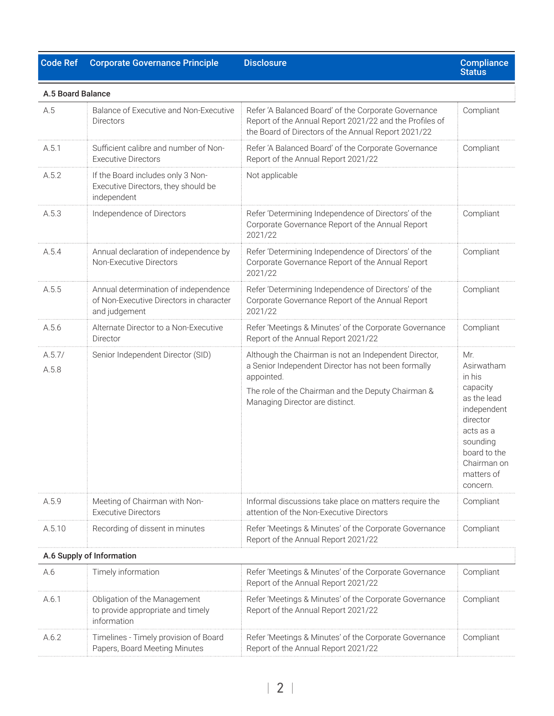## Code Ref Corporate Governance Principle Disclosure

| A.5 Board Balance |                                                                                                  |                                                                                                                                                                                                                     |                                                                                                                                                                     |
|-------------------|--------------------------------------------------------------------------------------------------|---------------------------------------------------------------------------------------------------------------------------------------------------------------------------------------------------------------------|---------------------------------------------------------------------------------------------------------------------------------------------------------------------|
| A.5               | Balance of Executive and Non-Executive<br><b>Directors</b>                                       | Refer 'A Balanced Board' of the Corporate Governance<br>Report of the Annual Report 2021/22 and the Profiles of<br>the Board of Directors of the Annual Report 2021/22                                              | Compliant                                                                                                                                                           |
| A.5.1             | Sufficient calibre and number of Non-<br><b>Executive Directors</b>                              | Refer 'A Balanced Board' of the Corporate Governance<br>Report of the Annual Report 2021/22                                                                                                                         | Compliant                                                                                                                                                           |
| A.5.2             | If the Board includes only 3 Non-<br>Executive Directors, they should be<br>independent          | Not applicable                                                                                                                                                                                                      |                                                                                                                                                                     |
| A.5.3             | Independence of Directors                                                                        | Refer 'Determining Independence of Directors' of the<br>Corporate Governance Report of the Annual Report<br>2021/22                                                                                                 | Compliant                                                                                                                                                           |
| A.5.4             | Annual declaration of independence by<br>Non-Executive Directors                                 | Refer 'Determining Independence of Directors' of the<br>Corporate Governance Report of the Annual Report<br>2021/22                                                                                                 | Compliant                                                                                                                                                           |
| A.5.5             | Annual determination of independence<br>of Non-Executive Directors in character<br>and judgement | Refer 'Determining Independence of Directors' of the<br>Corporate Governance Report of the Annual Report<br>2021/22                                                                                                 | Compliant                                                                                                                                                           |
| A.5.6             | Alternate Director to a Non-Executive<br>Director                                                | Refer 'Meetings & Minutes' of the Corporate Governance<br>Report of the Annual Report 2021/22                                                                                                                       | Compliant                                                                                                                                                           |
| A.5.7/<br>A.5.8   | Senior Independent Director (SID)                                                                | Although the Chairman is not an Independent Director,<br>a Senior Independent Director has not been formally<br>appointed.<br>The role of the Chairman and the Deputy Chairman &<br>Managing Director are distinct. | Mr.<br>Asirwatham<br>in his<br>capacity<br>as the lead<br>independent<br>director<br>acts as a<br>sounding<br>board to the<br>Chairman on<br>matters of<br>concern. |
| A.5.9             | Meeting of Chairman with Non-<br>Executive Directors                                             | Informal discussions take place on matters require the<br>attention of the Non-Executive Directors                                                                                                                  | Compliant                                                                                                                                                           |
| A.5.10            | Recording of dissent in minutes                                                                  | Refer 'Meetings & Minutes' of the Corporate Governance<br>Report of the Annual Report 2021/22                                                                                                                       | Compliant                                                                                                                                                           |
|                   | A.6 Supply of Information                                                                        |                                                                                                                                                                                                                     |                                                                                                                                                                     |
| A.6               | Timely information                                                                               | Refer 'Meetings & Minutes' of the Corporate Governance<br>Report of the Annual Report 2021/22                                                                                                                       | Compliant                                                                                                                                                           |
| A.6.1             | Obligation of the Management<br>to provide appropriate and timely<br>information                 | Refer 'Meetings & Minutes' of the Corporate Governance<br>Report of the Annual Report 2021/22                                                                                                                       | Compliant                                                                                                                                                           |
| A.6.2             | Timelines - Timely provision of Board<br>Papers, Board Meeting Minutes                           | Refer 'Meetings & Minutes' of the Corporate Governance<br>Report of the Annual Report 2021/22                                                                                                                       | Compliant                                                                                                                                                           |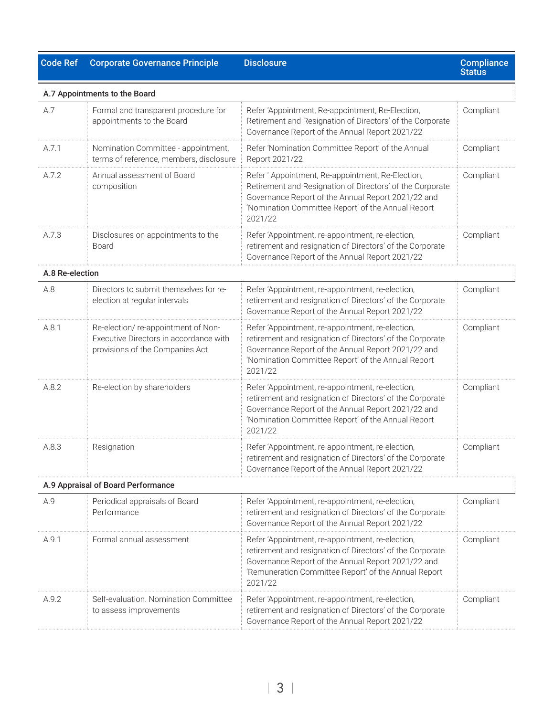## Code Ref Corporate Governance Principle Disclosure

|                 | A.7 Appointments to the Board                                                                                   |                                                                                                                                                                                                                                        |           |
|-----------------|-----------------------------------------------------------------------------------------------------------------|----------------------------------------------------------------------------------------------------------------------------------------------------------------------------------------------------------------------------------------|-----------|
| A.7             | Formal and transparent procedure for<br>appointments to the Board                                               | Refer 'Appointment, Re-appointment, Re-Election,<br>Retirement and Resignation of Directors' of the Corporate<br>Governance Report of the Annual Report 2021/22                                                                        | Compliant |
| A.7.1           | Nomination Committee - appointment,<br>terms of reference, members, disclosure                                  | Refer 'Nomination Committee Report' of the Annual<br>Report 2021/22                                                                                                                                                                    | Compliant |
| A.7.2           | Annual assessment of Board<br>composition                                                                       | Refer 'Appointment, Re-appointment, Re-Election,<br>Retirement and Resignation of Directors' of the Corporate<br>Governance Report of the Annual Report 2021/22 and<br>'Nomination Committee Report' of the Annual Report<br>2021/22   | Compliant |
| A.7.3           | Disclosures on appointments to the<br>Board                                                                     | Refer 'Appointment, re-appointment, re-election,<br>retirement and resignation of Directors' of the Corporate<br>Governance Report of the Annual Report 2021/22                                                                        | Compliant |
| A.8 Re-election |                                                                                                                 |                                                                                                                                                                                                                                        |           |
| A.8             | Directors to submit themselves for re-<br>election at regular intervals                                         | Refer 'Appointment, re-appointment, re-election,<br>retirement and resignation of Directors' of the Corporate<br>Governance Report of the Annual Report 2021/22                                                                        | Compliant |
| A.8.1           | Re-election/re-appointment of Non-<br>Executive Directors in accordance with<br>provisions of the Companies Act | Refer 'Appointment, re-appointment, re-election,<br>retirement and resignation of Directors' of the Corporate<br>Governance Report of the Annual Report 2021/22 and<br>'Nomination Committee Report' of the Annual Report<br>2021/22   | Compliant |
| A.8.2           | Re-election by shareholders                                                                                     | Refer 'Appointment, re-appointment, re-election,<br>retirement and resignation of Directors' of the Corporate<br>Governance Report of the Annual Report 2021/22 and<br>'Nomination Committee Report' of the Annual Report<br>2021/22   | Compliant |
| A.8.3           | Resignation                                                                                                     | Refer 'Appointment, re-appointment, re-election,<br>retirement and resignation of Directors' of the Corporate<br>Governance Report of the Annual Report 2021/22                                                                        | Compliant |
|                 | A.9 Appraisal of Board Performance                                                                              |                                                                                                                                                                                                                                        |           |
| A.9             | Periodical appraisals of Board<br>Performance                                                                   | Refer 'Appointment, re-appointment, re-election,<br>retirement and resignation of Directors' of the Corporate<br>Governance Report of the Annual Report 2021/22                                                                        | Compliant |
| A.9.1           | Formal annual assessment                                                                                        | Refer 'Appointment, re-appointment, re-election,<br>retirement and resignation of Directors' of the Corporate<br>Governance Report of the Annual Report 2021/22 and<br>'Remuneration Committee Report' of the Annual Report<br>2021/22 | Compliant |
| A.9.2           | Self-evaluation, Nomination Committee<br>to assess improvements                                                 | Refer 'Appointment, re-appointment, re-election,<br>retirement and resignation of Directors' of the Corporate<br>Governance Report of the Annual Report 2021/22                                                                        | Compliant |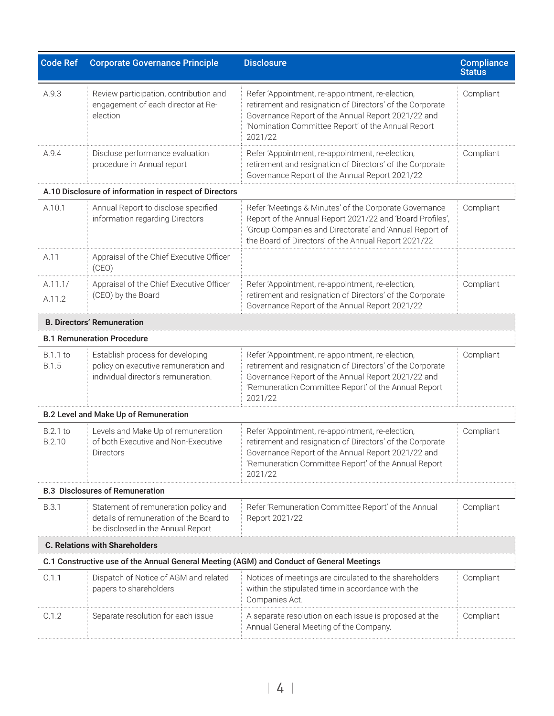| <b>Code Ref</b>                 | <b>Corporate Governance Principle</b>                                                                                | <b>Disclosure</b>                                                                                                                                                                                                                      | <b>Compliance</b><br><b>Status</b> |
|---------------------------------|----------------------------------------------------------------------------------------------------------------------|----------------------------------------------------------------------------------------------------------------------------------------------------------------------------------------------------------------------------------------|------------------------------------|
| A.9.3                           | Review participation, contribution and<br>engagement of each director at Re-<br>election                             | Refer 'Appointment, re-appointment, re-election,<br>retirement and resignation of Directors' of the Corporate<br>Governance Report of the Annual Report 2021/22 and<br>'Nomination Committee Report' of the Annual Report<br>2021/22   | Compliant                          |
| A.9.4                           | Disclose performance evaluation<br>procedure in Annual report                                                        | Refer 'Appointment, re-appointment, re-election,<br>retirement and resignation of Directors' of the Corporate<br>Governance Report of the Annual Report 2021/22                                                                        | Compliant                          |
|                                 | A.10 Disclosure of information in respect of Directors                                                               |                                                                                                                                                                                                                                        |                                    |
| A.10.1                          | Annual Report to disclose specified<br>information regarding Directors                                               | Refer 'Meetings & Minutes' of the Corporate Governance<br>Report of the Annual Report 2021/22 and 'Board Profiles',<br>'Group Companies and Directorate' and 'Annual Report of<br>the Board of Directors' of the Annual Report 2021/22 | Compliant                          |
| A.11                            | Appraisal of the Chief Executive Officer<br>(CEO)                                                                    |                                                                                                                                                                                                                                        |                                    |
| A.11.1/<br>A.11.2               | Appraisal of the Chief Executive Officer<br>(CEO) by the Board                                                       | Refer 'Appointment, re-appointment, re-election,<br>retirement and resignation of Directors' of the Corporate<br>Governance Report of the Annual Report 2021/22                                                                        | Compliant                          |
|                                 | <b>B. Directors' Remuneration</b>                                                                                    |                                                                                                                                                                                                                                        |                                    |
|                                 | <b>B.1 Remuneration Procedure</b>                                                                                    |                                                                                                                                                                                                                                        |                                    |
| <b>B.1.1 to</b><br><b>B.1.5</b> | Establish process for developing<br>policy on executive remuneration and<br>individual director's remuneration.      | Refer 'Appointment, re-appointment, re-election,<br>retirement and resignation of Directors' of the Corporate<br>Governance Report of the Annual Report 2021/22 and<br>'Remuneration Committee Report' of the Annual Report<br>2021/22 | Compliant                          |
|                                 | <b>B.2 Level and Make Up of Remuneration</b>                                                                         |                                                                                                                                                                                                                                        |                                    |
| <b>B.2.1 to</b><br>B.2.10       | Levels and Make Up of remuneration<br>of both Executive and Non-Executive<br><b>Directors</b>                        | Refer 'Appointment, re-appointment, re-election,<br>retirement and resignation of Directors' of the Corporate<br>Governance Report of the Annual Report 2021/22 and<br>'Remuneration Committee Report' of the Annual Report<br>2021/22 | Compliant                          |
|                                 | <b>B.3 Disclosures of Remuneration</b>                                                                               |                                                                                                                                                                                                                                        |                                    |
| <b>B.3.1</b>                    | Statement of remuneration policy and<br>details of remuneration of the Board to<br>be disclosed in the Annual Report | Refer 'Remuneration Committee Report' of the Annual<br>Report 2021/22                                                                                                                                                                  | Compliant                          |
|                                 | <b>C. Relations with Shareholders</b>                                                                                |                                                                                                                                                                                                                                        |                                    |
|                                 | C.1 Constructive use of the Annual General Meeting (AGM) and Conduct of General Meetings                             |                                                                                                                                                                                                                                        |                                    |
| C.1.1                           | Dispatch of Notice of AGM and related<br>papers to shareholders                                                      | Notices of meetings are circulated to the shareholders<br>within the stipulated time in accordance with the<br>Companies Act.                                                                                                          | Compliant                          |
| C.1.2                           | Separate resolution for each issue                                                                                   | A separate resolution on each issue is proposed at the<br>Annual General Meeting of the Company.                                                                                                                                       | Compliant                          |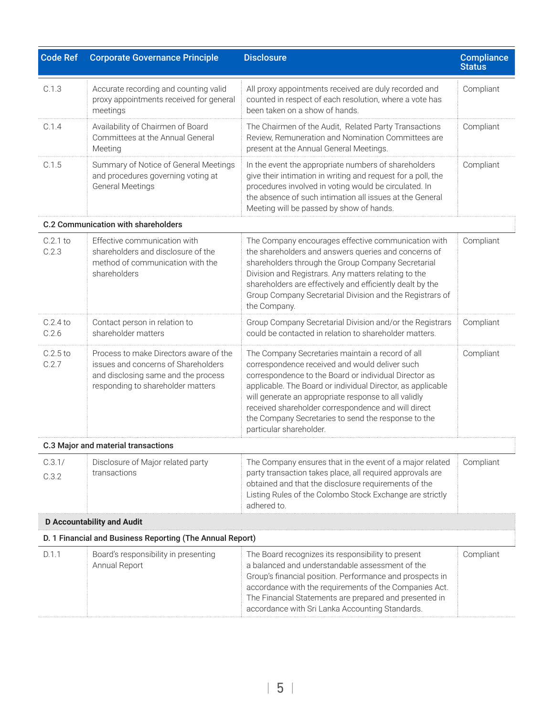| <b>Code Ref</b>                                           | <b>Corporate Governance Principle</b>                                                                                                                     | <b>Disclosure</b>                                                                                                                                                                                                                                                                                                                                                                                                           | <b>Compliance</b><br><b>Status</b> |  |
|-----------------------------------------------------------|-----------------------------------------------------------------------------------------------------------------------------------------------------------|-----------------------------------------------------------------------------------------------------------------------------------------------------------------------------------------------------------------------------------------------------------------------------------------------------------------------------------------------------------------------------------------------------------------------------|------------------------------------|--|
| C.1.3                                                     | Accurate recording and counting valid<br>proxy appointments received for general<br>meetings                                                              | All proxy appointments received are duly recorded and<br>counted in respect of each resolution, where a vote has<br>been taken on a show of hands.                                                                                                                                                                                                                                                                          | Compliant                          |  |
| C.1.4                                                     | Availability of Chairmen of Board<br>Committees at the Annual General<br>Meeting                                                                          | The Chairmen of the Audit, Related Party Transactions<br>Review, Remuneration and Nomination Committees are<br>present at the Annual General Meetings.                                                                                                                                                                                                                                                                      | Compliant                          |  |
| C.1.5                                                     | Summary of Notice of General Meetings<br>and procedures governing voting at<br><b>General Meetings</b>                                                    | In the event the appropriate numbers of shareholders<br>give their intimation in writing and request for a poll, the<br>procedures involved in voting would be circulated. In<br>the absence of such intimation all issues at the General<br>Meeting will be passed by show of hands.                                                                                                                                       | Compliant                          |  |
|                                                           | C.2 Communication with shareholders                                                                                                                       |                                                                                                                                                                                                                                                                                                                                                                                                                             |                                    |  |
| $C.2.1$ to<br>C.2.3                                       | Effective communication with<br>shareholders and disclosure of the<br>method of communication with the<br>shareholders                                    | The Company encourages effective communication with<br>the shareholders and answers queries and concerns of<br>shareholders through the Group Company Secretarial<br>Division and Registrars. Any matters relating to the<br>shareholders are effectively and efficiently dealt by the<br>Group Company Secretarial Division and the Registrars of<br>the Company.                                                          | Compliant                          |  |
| $C.2.4$ to<br>C.2.6                                       | Contact person in relation to<br>shareholder matters                                                                                                      | Group Company Secretarial Division and/or the Registrars<br>could be contacted in relation to shareholder matters.                                                                                                                                                                                                                                                                                                          | Compliant                          |  |
| $C.2.5$ to<br>C.2.7                                       | Process to make Directors aware of the<br>issues and concerns of Shareholders<br>and disclosing same and the process<br>responding to shareholder matters | The Company Secretaries maintain a record of all<br>correspondence received and would deliver such<br>correspondence to the Board or individual Director as<br>applicable. The Board or individual Director, as applicable<br>will generate an appropriate response to all validly<br>received shareholder correspondence and will direct<br>the Company Secretaries to send the response to the<br>particular shareholder. | Compliant                          |  |
|                                                           | C.3 Major and material transactions                                                                                                                       |                                                                                                                                                                                                                                                                                                                                                                                                                             |                                    |  |
| C.3.1/<br>C.3.2                                           | Disclosure of Major related party<br>transactions                                                                                                         | The Company ensures that in the event of a major related<br>party transaction takes place, all required approvals are<br>obtained and that the disclosure requirements of the<br>Listing Rules of the Colombo Stock Exchange are strictly<br>adhered to.                                                                                                                                                                    | Compliant                          |  |
|                                                           | <b>D</b> Accountability and Audit                                                                                                                         |                                                                                                                                                                                                                                                                                                                                                                                                                             |                                    |  |
| D. 1 Financial and Business Reporting (The Annual Report) |                                                                                                                                                           |                                                                                                                                                                                                                                                                                                                                                                                                                             |                                    |  |
| D.1.1                                                     | Board's responsibility in presenting<br>Annual Report                                                                                                     | The Board recognizes its responsibility to present<br>a balanced and understandable assessment of the<br>Group's financial position. Performance and prospects in<br>accordance with the requirements of the Companies Act.<br>The Financial Statements are prepared and presented in<br>accordance with Sri Lanka Accounting Standards.                                                                                    | Compliant                          |  |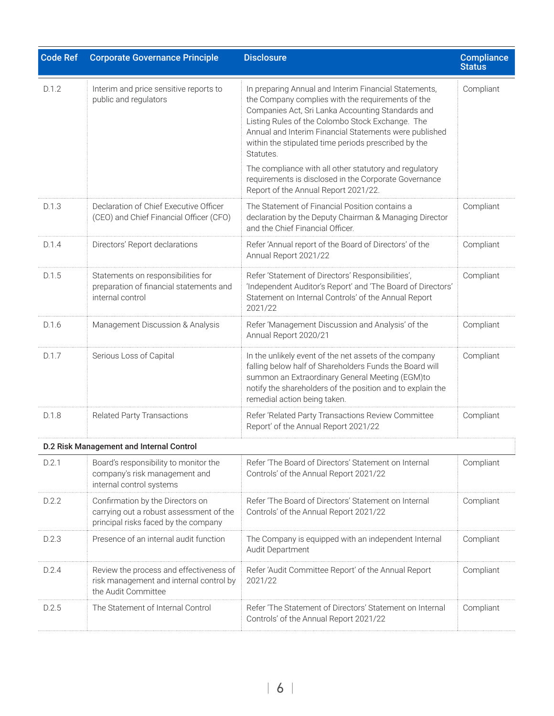| <b>Code Ref</b> | <b>Corporate Governance Principle</b>                                                                               | <b>Disclosure</b>                                                                                                                                                                                                                                                                                                                                  | <b>Compliance</b><br><b>Status</b> |
|-----------------|---------------------------------------------------------------------------------------------------------------------|----------------------------------------------------------------------------------------------------------------------------------------------------------------------------------------------------------------------------------------------------------------------------------------------------------------------------------------------------|------------------------------------|
| D.1.2           | Interim and price sensitive reports to<br>public and regulators                                                     | In preparing Annual and Interim Financial Statements,<br>the Company complies with the requirements of the<br>Companies Act, Sri Lanka Accounting Standards and<br>Listing Rules of the Colombo Stock Exchange. The<br>Annual and Interim Financial Statements were published<br>within the stipulated time periods prescribed by the<br>Statutes. | Compliant                          |
|                 |                                                                                                                     | The compliance with all other statutory and regulatory<br>requirements is disclosed in the Corporate Governance<br>Report of the Annual Report 2021/22.                                                                                                                                                                                            |                                    |
| D.1.3           | Declaration of Chief Executive Officer<br>(CEO) and Chief Financial Officer (CFO)                                   | The Statement of Financial Position contains a<br>declaration by the Deputy Chairman & Managing Director<br>and the Chief Financial Officer.                                                                                                                                                                                                       | Compliant                          |
| D.1.4           | Directors' Report declarations                                                                                      | Refer 'Annual report of the Board of Directors' of the<br>Annual Report 2021/22                                                                                                                                                                                                                                                                    | Compliant                          |
| D.1.5           | Statements on responsibilities for<br>preparation of financial statements and<br>internal control                   | Refer 'Statement of Directors' Responsibilities',<br>'Independent Auditor's Report' and 'The Board of Directors'<br>Statement on Internal Controls' of the Annual Report<br>2021/22                                                                                                                                                                | Compliant                          |
| D.1.6           | Management Discussion & Analysis                                                                                    | Refer 'Management Discussion and Analysis' of the<br>Annual Report 2020/21                                                                                                                                                                                                                                                                         | Compliant                          |
| D.1.7           | Serious Loss of Capital                                                                                             | In the unlikely event of the net assets of the company<br>falling below half of Shareholders Funds the Board will<br>summon an Extraordinary General Meeting (EGM)to<br>notify the shareholders of the position and to explain the<br>remedial action being taken.                                                                                 | Compliant                          |
| D.1.8           | <b>Related Party Transactions</b>                                                                                   | Refer 'Related Party Transactions Review Committee<br>Report' of the Annual Report 2021/22                                                                                                                                                                                                                                                         | Compliant                          |
|                 | D.2 Risk Management and Internal Control                                                                            |                                                                                                                                                                                                                                                                                                                                                    |                                    |
| D.2.1           | Board's responsibility to monitor the<br>company's risk management and<br>internal control systems                  | Refer 'The Board of Directors' Statement on Internal<br>Controls' of the Annual Report 2021/22                                                                                                                                                                                                                                                     | Compliant                          |
| D.2.2           | Confirmation by the Directors on<br>carrying out a robust assessment of the<br>principal risks faced by the company | Refer 'The Board of Directors' Statement on Internal<br>Controls' of the Annual Report 2021/22                                                                                                                                                                                                                                                     | Compliant                          |
| D.2.3           | Presence of an internal audit function                                                                              | The Company is equipped with an independent Internal<br>Audit Department                                                                                                                                                                                                                                                                           | Compliant                          |
| D.2.4           | Review the process and effectiveness of<br>risk management and internal control by<br>the Audit Committee           | Refer 'Audit Committee Report' of the Annual Report<br>2021/22                                                                                                                                                                                                                                                                                     | Compliant                          |
| D.2.5           | The Statement of Internal Control                                                                                   | Refer 'The Statement of Directors' Statement on Internal<br>Controls' of the Annual Report 2021/22                                                                                                                                                                                                                                                 | Compliant                          |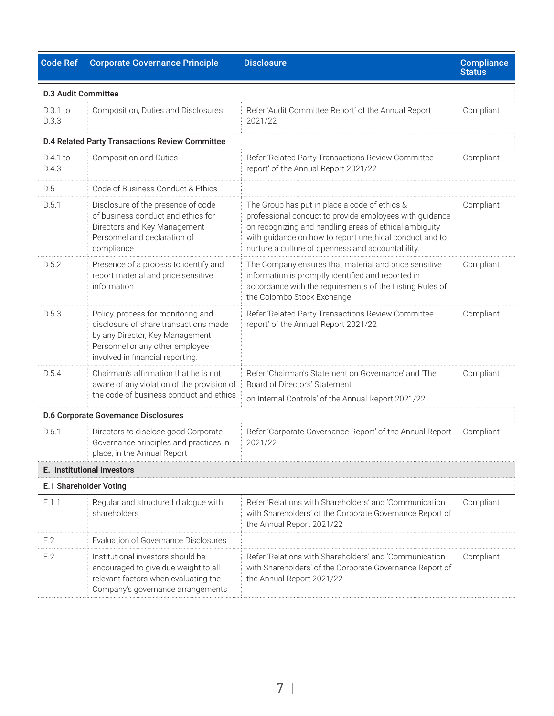| <b>Code Ref</b>            | <b>Corporate Governance Principle</b>                                                                                                                                                 | <b>Disclosure</b>                                                                                                                                                                                                                                                                  | <b>Compliance</b><br><b>Status</b> |
|----------------------------|---------------------------------------------------------------------------------------------------------------------------------------------------------------------------------------|------------------------------------------------------------------------------------------------------------------------------------------------------------------------------------------------------------------------------------------------------------------------------------|------------------------------------|
| <b>D.3 Audit Committee</b> |                                                                                                                                                                                       |                                                                                                                                                                                                                                                                                    |                                    |
| $D.3.1$ to<br>D.3.3        | Composition, Duties and Disclosures                                                                                                                                                   | Refer 'Audit Committee Report' of the Annual Report<br>2021/22                                                                                                                                                                                                                     | Compliant                          |
|                            | <b>D.4 Related Party Transactions Review Committee</b>                                                                                                                                |                                                                                                                                                                                                                                                                                    |                                    |
| $D.4.1$ to<br>D.4.3        | <b>Composition and Duties</b>                                                                                                                                                         | Refer 'Related Party Transactions Review Committee<br>report' of the Annual Report 2021/22                                                                                                                                                                                         | Compliant                          |
| D.5                        | Code of Business Conduct & Ethics                                                                                                                                                     |                                                                                                                                                                                                                                                                                    |                                    |
| D.5.1                      | Disclosure of the presence of code<br>of business conduct and ethics for<br>Directors and Key Management<br>Personnel and declaration of<br>compliance                                | The Group has put in place a code of ethics &<br>professional conduct to provide employees with guidance<br>on recognizing and handling areas of ethical ambiguity<br>with guidance on how to report unethical conduct and to<br>nurture a culture of openness and accountability. | Compliant                          |
| D.5.2                      | Presence of a process to identify and<br>report material and price sensitive<br>information                                                                                           | The Company ensures that material and price sensitive<br>information is promptly identified and reported in<br>accordance with the requirements of the Listing Rules of<br>the Colombo Stock Exchange.                                                                             | Compliant                          |
| D.5.3.                     | Policy, process for monitoring and<br>disclosure of share transactions made<br>by any Director, Key Management<br>Personnel or any other employee<br>involved in financial reporting. | Refer 'Related Party Transactions Review Committee<br>report' of the Annual Report 2021/22                                                                                                                                                                                         | Compliant                          |
| D.5.4                      | Chairman's affirmation that he is not<br>aware of any violation of the provision of<br>the code of business conduct and ethics                                                        | Refer 'Chairman's Statement on Governance' and 'The<br>Board of Directors' Statement                                                                                                                                                                                               | Compliant                          |
|                            | <b>D.6 Corporate Governance Disclosures</b>                                                                                                                                           | on Internal Controls' of the Annual Report 2021/22                                                                                                                                                                                                                                 |                                    |
| D.6.1                      | Directors to disclose good Corporate<br>Governance principles and practices in<br>place, in the Annual Report                                                                         | Refer 'Corporate Governance Report' of the Annual Report<br>2021/22                                                                                                                                                                                                                | Compliant                          |
|                            | <b>E. Institutional Investors</b>                                                                                                                                                     |                                                                                                                                                                                                                                                                                    |                                    |
|                            | E.1 Shareholder Voting                                                                                                                                                                |                                                                                                                                                                                                                                                                                    |                                    |
| E.1.1                      | Regular and structured dialogue with<br>shareholders                                                                                                                                  | Refer 'Relations with Shareholders' and 'Communication<br>with Shareholders' of the Corporate Governance Report of<br>the Annual Report 2021/22                                                                                                                                    | Compliant                          |
| E.2                        | Evaluation of Governance Disclosures                                                                                                                                                  |                                                                                                                                                                                                                                                                                    |                                    |
| E.2                        | Institutional investors should be<br>encouraged to give due weight to all<br>relevant factors when evaluating the<br>Company's governance arrangements                                | Refer 'Relations with Shareholders' and 'Communication<br>with Shareholders' of the Corporate Governance Report of<br>the Annual Report 2021/22                                                                                                                                    | Compliant                          |